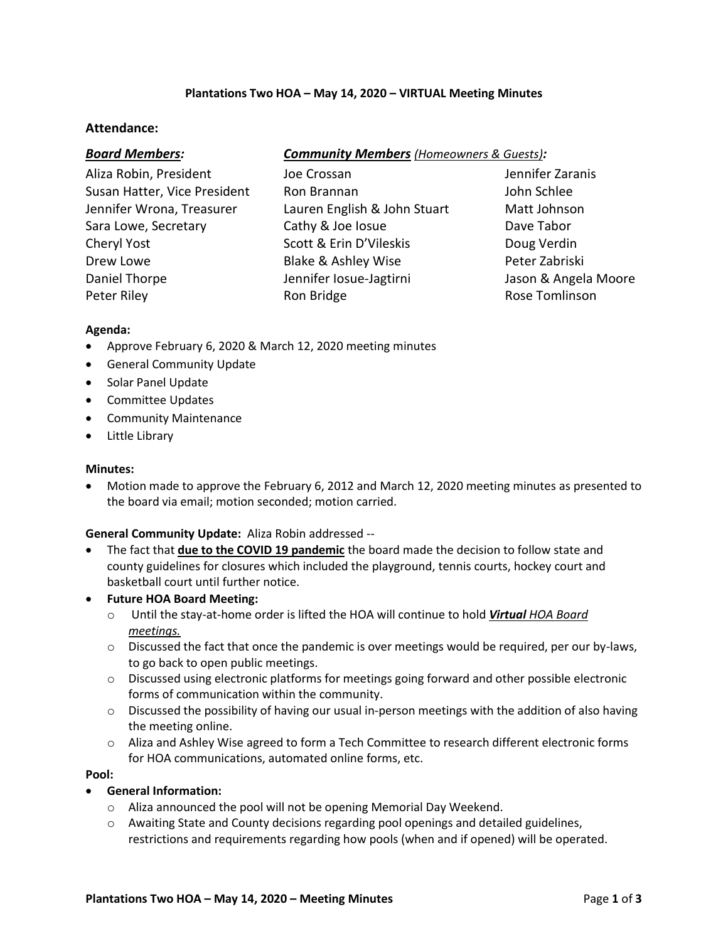# **Plantations Two HOA – May 14, 2020 – VIRTUAL Meeting Minutes**

# **Attendance:**

| <b>Board Members:</b> | <b>Community Members</b> (Homeowners & Guests): |
|-----------------------|-------------------------------------------------|
|-----------------------|-------------------------------------------------|

Aliza Robin, President Joe Crossan Jennifer Zaranis Susan Hatter, Vice President Ron Brannan John Schlee Jennifer Wrona, Treasurer Lauren English & John Stuart Matt Johnson Sara Lowe, Secretary **Cathy & Joe Iosue** Dave Tabor Cheryl Yost **Scott & Erin D'Vileskis** Doug Verdin Drew Lowe Blake & Ashley Wise Peter Zabriski Daniel Thorpe Thorpe Jennifer Iosue-Jagtirni Jason & Angela Moore Peter Riley **Rom Bridge** Rose Tomlinson Rose Tomlinson

### **Agenda:**

- Approve February 6, 2020 & March 12, 2020 meeting minutes
- General Community Update
- Solar Panel Update
- Committee Updates
- Community Maintenance
- Little Library

#### **Minutes:**

 Motion made to approve the February 6, 2012 and March 12, 2020 meeting minutes as presented to the board via email; motion seconded; motion carried.

# **General Community Update:** Aliza Robin addressed --

- The fact that **due to the COVID 19 pandemic** the board made the decision to follow state and county guidelines for closures which included the playground, tennis courts, hockey court and basketball court until further notice.
- **Future HOA Board Meeting:**
	- o Until the stay-at-home order is lifted the HOA will continue to hold *Virtual HOA Board meetings.*
	- $\circ$  Discussed the fact that once the pandemic is over meetings would be required, per our by-laws, to go back to open public meetings.
	- $\circ$  Discussed using electronic platforms for meetings going forward and other possible electronic forms of communication within the community.
	- $\circ$  Discussed the possibility of having our usual in-person meetings with the addition of also having the meeting online.
	- $\circ$  Aliza and Ashley Wise agreed to form a Tech Committee to research different electronic forms for HOA communications, automated online forms, etc.

### **Pool:**

- **General Information:**
	- o Aliza announced the pool will not be opening Memorial Day Weekend.
	- $\circ$  Awaiting State and County decisions regarding pool openings and detailed guidelines, restrictions and requirements regarding how pools (when and if opened) will be operated.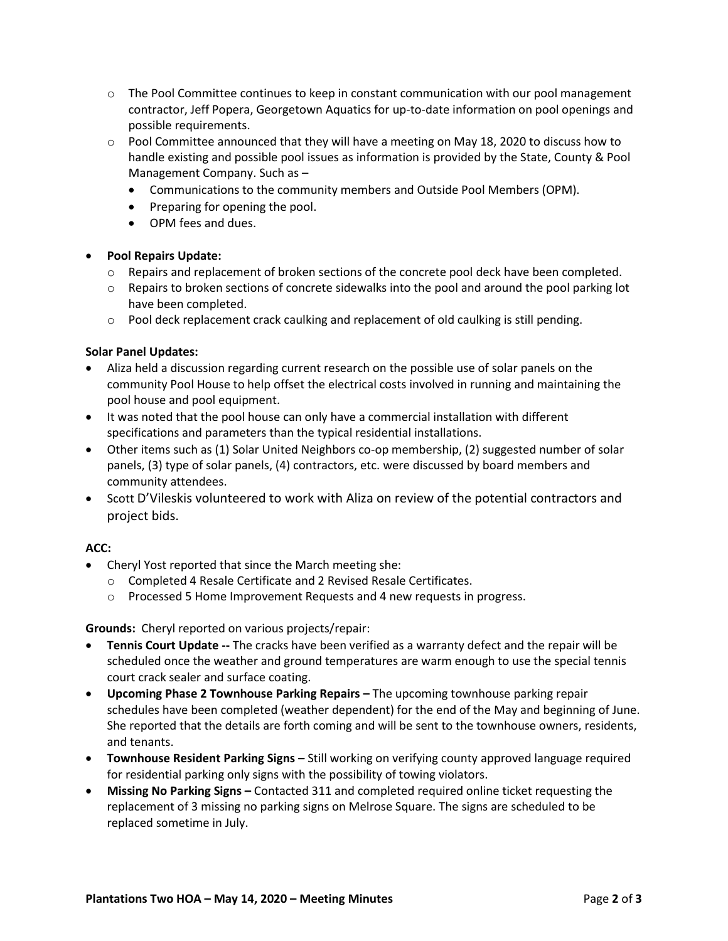- $\circ$  The Pool Committee continues to keep in constant communication with our pool management contractor, Jeff Popera, Georgetown Aquatics for up-to-date information on pool openings and possible requirements.
- o Pool Committee announced that they will have a meeting on May 18, 2020 to discuss how to handle existing and possible pool issues as information is provided by the State, County & Pool Management Company. Such as –
	- Communications to the community members and Outside Pool Members (OPM).
	- Preparing for opening the pool.
	- OPM fees and dues.

### **Pool Repairs Update:**

- $\circ$  Repairs and replacement of broken sections of the concrete pool deck have been completed.
- $\circ$  Repairs to broken sections of concrete sidewalks into the pool and around the pool parking lot have been completed.
- o Pool deck replacement crack caulking and replacement of old caulking is still pending.

### **Solar Panel Updates:**

- Aliza held a discussion regarding current research on the possible use of solar panels on the community Pool House to help offset the electrical costs involved in running and maintaining the pool house and pool equipment.
- It was noted that the pool house can only have a commercial installation with different specifications and parameters than the typical residential installations.
- Other items such as (1) Solar United Neighbors co-op membership, (2) suggested number of solar panels, (3) type of solar panels, (4) contractors, etc. were discussed by board members and community attendees.
- Scott D'Vileskis volunteered to work with Aliza on review of the potential contractors and project bids.

### **ACC:**

- Cheryl Yost reported that since the March meeting she:
	- o Completed 4 Resale Certificate and 2 Revised Resale Certificates.
	- o Processed 5 Home Improvement Requests and 4 new requests in progress.

### **Grounds:** Cheryl reported on various projects/repair:

- **Tennis Court Update --** The cracks have been verified as a warranty defect and the repair will be scheduled once the weather and ground temperatures are warm enough to use the special tennis court crack sealer and surface coating.
- **Upcoming Phase 2 Townhouse Parking Repairs –** The upcoming townhouse parking repair schedules have been completed (weather dependent) for the end of the May and beginning of June. She reported that the details are forth coming and will be sent to the townhouse owners, residents, and tenants.
- **Townhouse Resident Parking Signs –** Still working on verifying county approved language required for residential parking only signs with the possibility of towing violators.
- **Missing No Parking Signs –** Contacted 311 and completed required online ticket requesting the replacement of 3 missing no parking signs on Melrose Square. The signs are scheduled to be replaced sometime in July.